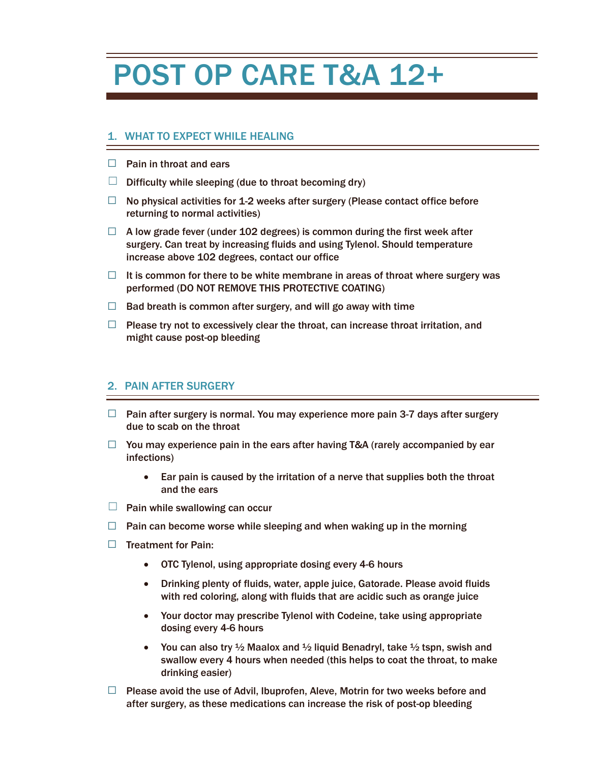# POST OP CARE T&A 12+

## 1. WHAT TO EXPECT WHILE HEALING

- $\Box$  Pain in throat and ears
- $\Box$  Difficulty while sleeping (due to throat becoming dry)
- $\Box$  No physical activities for 1-2 weeks after surgery (Please contact office before returning to normal activities)
- $\Box$  A low grade fever (under 102 degrees) is common during the first week after surgery. Can treat by increasing fluids and using Tylenol. Should temperature increase above 102 degrees, contact our office
- $\Box$  It is common for there to be white membrane in areas of throat where surgery was performed (DO NOT REMOVE THIS PROTECTIVE COATING)
- $\Box$  Bad breath is common after surgery, and will go away with time
- $\Box$  Please try not to excessively clear the throat, can increase throat irritation, and might cause post-op bleeding

#### 2. PAIN AFTER SURGERY

- $\Box$  Pain after surgery is normal. You may experience more pain 3-7 days after surgery due to scab on the throat
- $\Box$  You may experience pain in the ears after having T&A (rarely accompanied by ear infections)
	- Ear pain is caused by the irritation of a nerve that supplies both the throat and the ears
- $\Box$  Pain while swallowing can occur
- $\Box$  Pain can become worse while sleeping and when waking up in the morning
- ☐ Treatment for Pain:
	- OTC Tylenol, using appropriate dosing every 4-6 hours
	- Drinking plenty of fluids, water, apple juice, Gatorade. Please avoid fluids with red coloring, along with fluids that are acidic such as orange juice
	- Your doctor may prescribe Tylenol with Codeine, take using appropriate dosing every 4-6 hours
	- You can also try  $\frac{1}{2}$  Maalox and  $\frac{1}{2}$  liquid Benadryl, take  $\frac{1}{2}$  tspn, swish and swallow every 4 hours when needed (this helps to coat the throat, to make drinking easier)
- $\Box$  Please avoid the use of Advil, Ibuprofen, Aleve, Motrin for two weeks before and after surgery, as these medications can increase the risk of post-op bleeding